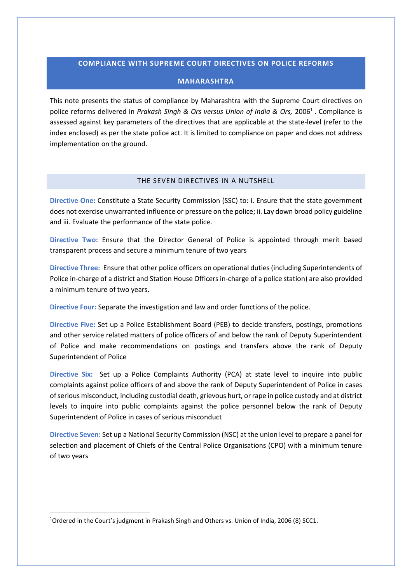## **COMPLIANCE WITH SUPREME COURT DIRECTIVES ON POLICE REFORMS**

## **MAHARASHTRA**

This note presents the status of compliance by Maharashtra with the Supreme Court directives on police reforms delivered in *Prakash Singh & Ors versus Union of India & Ors,* 2006<sup>1</sup> . Compliance is assessed against key parameters of the directives that are applicable at the state-level (refer to the index enclosed) as per the state police act. It is limited to compliance on paper and does not address implementation on the ground.

## THE SEVEN DIRECTIVES IN A NUTSHELL

**Directive One:** Constitute a State Security Commission (SSC) to: i. Ensure that the state government does not exercise unwarranted influence or pressure on the police; ii. Lay down broad policy guideline and iii. Evaluate the performance of the state police.

**Directive Two:** Ensure that the Director General of Police is appointed through merit based transparent process and secure a minimum tenure of two years

**Directive Three:** Ensure that other police officers on operational duties (including Superintendents of Police in-charge of a district and Station House Officers in-charge of a police station) are also provided a minimum tenure of two years.

**Directive Four:** Separate the investigation and law and order functions of the police.

**Directive Five:** Set up a Police Establishment Board (PEB) to decide transfers, postings, promotions and other service related matters of police officers of and below the rank of Deputy Superintendent of Police and make recommendations on postings and transfers above the rank of Deputy Superintendent of Police

**Directive Six:** Set up a Police Complaints Authority (PCA) at state level to inquire into public complaints against police officers of and above the rank of Deputy Superintendent of Police in cases of serious misconduct, including custodial death, grievous hurt, or rape in police custody and at district levels to inquire into public complaints against the police personnel below the rank of Deputy Superintendent of Police in cases of serious misconduct

**Directive Seven:** Set up a National Security Commission (NSC) at the union level to prepare a panel for selection and placement of Chiefs of the Central Police Organisations (CPO) with a minimum tenure of two years

 $\overline{a}$ 

<sup>1</sup>Ordered in the Court's judgment in Prakash Singh and Others vs. Union of India, 2006 (8) SCC1.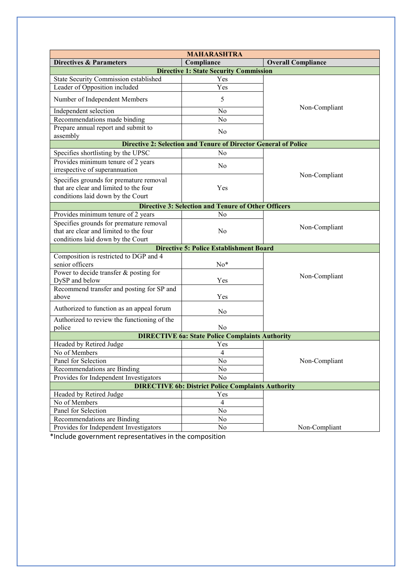| <b>MAHARASHTRA</b>                                                     |                                                            |                           |  |  |  |  |  |  |
|------------------------------------------------------------------------|------------------------------------------------------------|---------------------------|--|--|--|--|--|--|
| <b>Directives &amp; Parameters</b>                                     | Compliance                                                 | <b>Overall Compliance</b> |  |  |  |  |  |  |
| <b>Directive 1: State Security Commission</b>                          |                                                            |                           |  |  |  |  |  |  |
| State Security Commission established                                  | Yes                                                        | Non-Compliant             |  |  |  |  |  |  |
| Leader of Opposition included                                          | Yes                                                        |                           |  |  |  |  |  |  |
| Number of Independent Members                                          | 5                                                          |                           |  |  |  |  |  |  |
| Independent selection                                                  | No                                                         |                           |  |  |  |  |  |  |
| Recommendations made binding                                           | N <sub>0</sub>                                             |                           |  |  |  |  |  |  |
| Prepare annual report and submit to<br>assembly                        | No                                                         |                           |  |  |  |  |  |  |
| <b>Directive 2: Selection and Tenure of Director General of Police</b> |                                                            |                           |  |  |  |  |  |  |
| Specifies shortlisting by the UPSC                                     | No                                                         |                           |  |  |  |  |  |  |
| Provides minimum tenure of 2 years<br>irrespective of superannuation   | N <sub>0</sub>                                             |                           |  |  |  |  |  |  |
| Specifies grounds for premature removal                                |                                                            | Non-Compliant             |  |  |  |  |  |  |
| that are clear and limited to the four                                 | Yes                                                        |                           |  |  |  |  |  |  |
| conditions laid down by the Court                                      |                                                            |                           |  |  |  |  |  |  |
|                                                                        | <b>Directive 3: Selection and Tenure of Other Officers</b> |                           |  |  |  |  |  |  |
| Provides minimum tenure of 2 years                                     | N <sub>0</sub>                                             |                           |  |  |  |  |  |  |
| Specifies grounds for premature removal                                |                                                            |                           |  |  |  |  |  |  |
| that are clear and limited to the four                                 | No                                                         | Non-Compliant             |  |  |  |  |  |  |
| conditions laid down by the Court                                      |                                                            |                           |  |  |  |  |  |  |
|                                                                        | <b>Directive 5: Police Establishment Board</b>             |                           |  |  |  |  |  |  |
| Composition is restricted to DGP and 4                                 |                                                            |                           |  |  |  |  |  |  |
| senior officers                                                        | $No*$                                                      |                           |  |  |  |  |  |  |
| Power to decide transfer & posting for                                 |                                                            |                           |  |  |  |  |  |  |
| DySP and below                                                         | Yes                                                        | Non-Compliant             |  |  |  |  |  |  |
| Recommend transfer and posting for SP and                              |                                                            |                           |  |  |  |  |  |  |
| above                                                                  | Yes                                                        |                           |  |  |  |  |  |  |
| Authorized to function as an appeal forum                              | N <sub>0</sub>                                             |                           |  |  |  |  |  |  |
| Authorized to review the functioning of the                            |                                                            |                           |  |  |  |  |  |  |
| police                                                                 | N <sub>0</sub>                                             |                           |  |  |  |  |  |  |
|                                                                        | <b>DIRECTIVE 6a: State Police Complaints Authority</b>     |                           |  |  |  |  |  |  |
| Headed by Retired Judge                                                | Yes                                                        |                           |  |  |  |  |  |  |
| No of Members                                                          | $\overline{4}$                                             | Non-Compliant             |  |  |  |  |  |  |
| Panel for Selection                                                    | No                                                         |                           |  |  |  |  |  |  |
| Recommendations are Binding                                            | No                                                         |                           |  |  |  |  |  |  |
| Provides for Independent Investigators<br>No                           |                                                            |                           |  |  |  |  |  |  |
| <b>DIRECTIVE 6b: District Police Complaints Authority</b>              |                                                            |                           |  |  |  |  |  |  |
| Headed by Retired Judge                                                | Yes                                                        |                           |  |  |  |  |  |  |
| No of Members                                                          | $\overline{4}$                                             |                           |  |  |  |  |  |  |
| Panel for Selection                                                    | No                                                         |                           |  |  |  |  |  |  |
| Recommendations are Binding                                            | No                                                         |                           |  |  |  |  |  |  |
| Provides for Independent Investigators                                 | No                                                         | Non-Compliant             |  |  |  |  |  |  |

\*Include government representatives in the composition